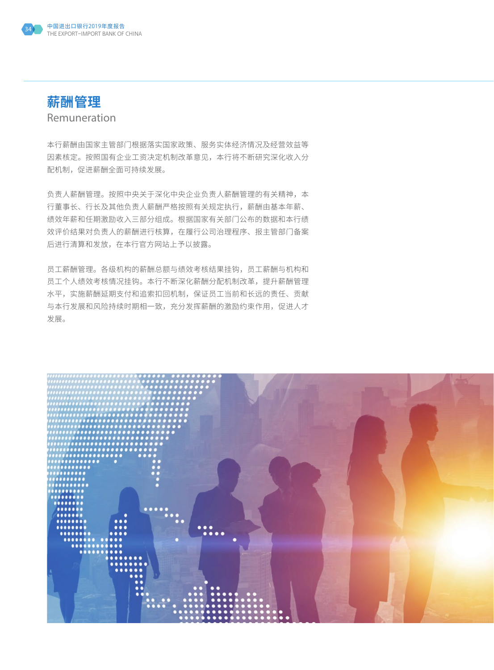



Remuneration

本行薪酬由国家主管部门根据落实国家政策、服务实体经济情况及经营效益等 因素核定。按照国有企业工资决定机制改革意见,本行将不断研究深化收入分 配机制,促进薪酬全面可持续发展。

负责人薪酬管理。按照中央关于深化中央企业负责人薪酬管理的有关精神,本 行董事长、行长及其他负责人薪酬严格按照有关规定执行,薪酬由基本年薪、 绩效年薪和任期激励收入三部分组成。根据国家有关部门公布的数据和本行绩 效评价结果对负责人的薪酬进行核算,在履行公司治理程序、报主管部门备案 后进行清算和发放,在本行官方网站上予以披露。

员工薪酬管理。各级机构的薪酬总额与绩效考核结果挂钩,员工薪酬与机构和 员工个人绩效考核情况挂钩。本行不断深化薪酬分配机制改革,提升薪酬管理 水平,实施薪酬延期支付和追索扣回机制,保证员工当前和长远的责任、贡献 与本行发展和风险持续时期相一致,充分发挥薪酬的激励约束作用,促进人才 发展。